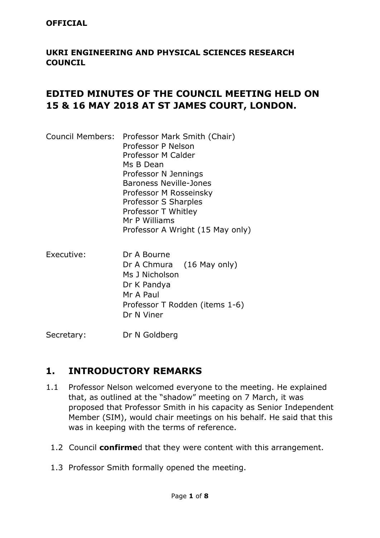#### **OFFICIAL**

#### **UKRI ENGINEERING AND PHYSICAL SCIENCES RESEARCH COUNCIL**

#### **EDITED MINUTES OF THE COUNCIL MEETING HELD ON 15 & 16 MAY 2018 AT ST JAMES COURT, LONDON.**

|  | Council Members: Professor Mark Smith (Chair) |
|--|-----------------------------------------------|
|  | Professor P Nelson                            |
|  | Professor M Calder                            |
|  | Ms B Dean                                     |
|  | Professor N Jennings                          |
|  | <b>Baroness Neville-Jones</b>                 |
|  | Professor M Rosseinsky                        |
|  | Professor S Sharples                          |
|  | Professor T Whitley                           |
|  | Mr P Williams                                 |
|  | Professor A Wright (15 May only)              |
|  |                                               |

Executive: Dr A Bourne Dr A Chmura (16 May only) Ms J Nicholson Dr K Pandya Mr A Paul Professor T Rodden (items 1-6) Dr N Viner

Secretary: Dr N Goldberg

#### **1. INTRODUCTORY REMARKS**

- 1.1 Professor Nelson welcomed everyone to the meeting. He explained that, as outlined at the "shadow" meeting on 7 March, it was proposed that Professor Smith in his capacity as Senior Independent Member (SIM), would chair meetings on his behalf. He said that this was in keeping with the terms of reference.
	- 1.2 Council **confirme**d that they were content with this arrangement.
	- 1.3 Professor Smith formally opened the meeting.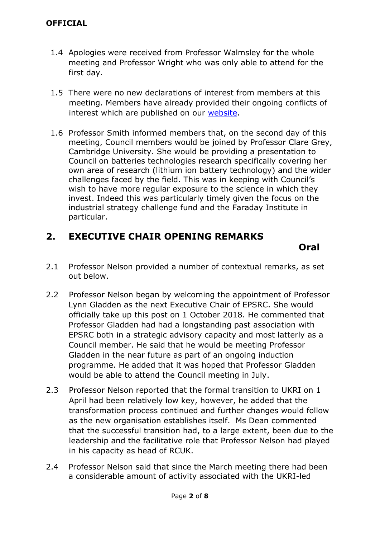- 1.4 Apologies were received from Professor Walmsley for the whole meeting and Professor Wright who was only able to attend for the first day.
- 1.5 There were no new declarations of interest from members at this meeting. Members have already provided their ongoing conflicts of interest which are published on our [website.](https://epsrc.ukri.org/about/governance/council/declarations/)
- 1.6 Professor Smith informed members that, on the second day of this meeting, Council members would be joined by Professor Clare Grey, Cambridge University. She would be providing a presentation to Council on batteries technologies research specifically covering her own area of research (lithium ion battery technology) and the wider challenges faced by the field. This was in keeping with Council's wish to have more regular exposure to the science in which they invest. Indeed this was particularly timely given the focus on the industrial strategy challenge fund and the Faraday Institute in particular.

### **2. EXECUTIVE CHAIR OPENING REMARKS**

 *Oral*  **Oral**  *Oral**A* 

- 2.1 Professor Nelson provided a number of contextual remarks, as set out below.
- 2.2 Professor Nelson began by welcoming the appointment of Professor Lynn Gladden as the next Executive Chair of EPSRC. She would officially take up this post on 1 October 2018. He commented that Professor Gladden had had a longstanding past association with EPSRC both in a strategic advisory capacity and most latterly as a Council member. He said that he would be meeting Professor Gladden in the near future as part of an ongoing induction programme. He added that it was hoped that Professor Gladden would be able to attend the Council meeting in July.
- 2.3 Professor Nelson reported that the formal transition to UKRI on 1 April had been relatively low key, however, he added that the transformation process continued and further changes would follow as the new organisation establishes itself. Ms Dean commented that the successful transition had, to a large extent, been due to the leadership and the facilitative role that Professor Nelson had played in his capacity as head of RCUK.
- 2.4 Professor Nelson said that since the March meeting there had been a considerable amount of activity associated with the UKRI-led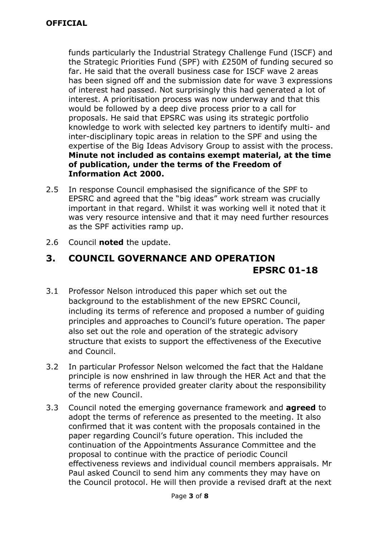funds particularly the Industrial Strategy Challenge Fund (ISCF) and the Strategic Priorities Fund (SPF) with £250M of funding secured so far. He said that the overall business case for ISCF wave 2 areas has been signed off and the submission date for wave 3 expressions of interest had passed. Not surprisingly this had generated a lot of interest. A prioritisation process was now underway and that this would be followed by a deep dive process prior to a call for proposals. He said that EPSRC was using its strategic portfolio knowledge to work with selected key partners to identify multi- and inter-disciplinary topic areas in relation to the SPF and using the expertise of the Big Ideas Advisory Group to assist with the process. **Minute not included as contains exempt material, at the time of publication, under the terms of the Freedom of Information Act 2000.**

- 2.5 In response Council emphasised the significance of the SPF to EPSRC and agreed that the "big ideas" work stream was crucially important in that regard. Whilst it was working well it noted that it was very resource intensive and that it may need further resources as the SPF activities ramp up.
- 2.6 Council **noted** the update.

# **3. COUNCIL GOVERNANCE AND OPERATION EPSRC 01-18**

- 3.1 Professor Nelson introduced this paper which set out the background to the establishment of the new EPSRC Council, including its terms of reference and proposed a number of guiding principles and approaches to Council's future operation. The paper also set out the role and operation of the strategic advisory structure that exists to support the effectiveness of the Executive and Council.
- 3.2 In particular Professor Nelson welcomed the fact that the Haldane principle is now enshrined in law through the HER Act and that the terms of reference provided greater clarity about the responsibility of the new Council.
- 3.3 Council noted the emerging governance framework and **agreed** to adopt the terms of reference as presented to the meeting. It also confirmed that it was content with the proposals contained in the paper regarding Council's future operation. This included the continuation of the Appointments Assurance Committee and the proposal to continue with the practice of periodic Council effectiveness reviews and individual council members appraisals. Mr Paul asked Council to send him any comments they may have on the Council protocol. He will then provide a revised draft at the next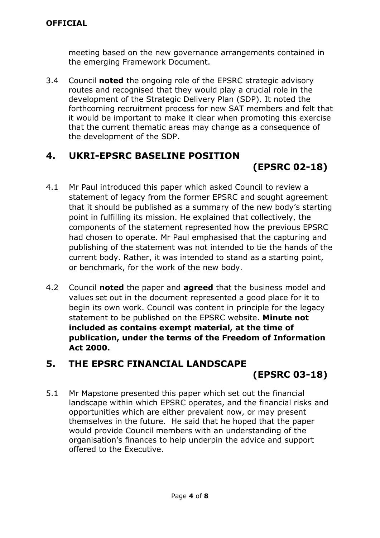meeting based on the new governance arrangements contained in the emerging Framework Document.

3.4 Council **noted** the ongoing role of the EPSRC strategic advisory routes and recognised that they would play a crucial role in the development of the Strategic Delivery Plan (SDP). It noted the forthcoming recruitment process for new SAT members and felt that it would be important to make it clear when promoting this exercise that the current thematic areas may change as a consequence of the development of the SDP.

### **4. UKRI-EPSRC BASELINE POSITION**

# **(EPSRC 02-18)**

- 4.1 Mr Paul introduced this paper which asked Council to review a statement of legacy from the former EPSRC and sought agreement that it should be published as a summary of the new body's starting point in fulfilling its mission. He explained that collectively, the components of the statement represented how the previous EPSRC had chosen to operate. Mr Paul emphasised that the capturing and publishing of the statement was not intended to tie the hands of the current body. Rather, it was intended to stand as a starting point, or benchmark, for the work of the new body.
- 4.2 Council **noted** the paper and **agreed** that the business model and values set out in the document represented a good place for it to begin its own work. Council was content in principle for the legacy statement to be published on the EPSRC website. **Minute not included as contains exempt material, at the time of publication, under the terms of the Freedom of Information Act 2000.**

# **5. THE EPSRC FINANCIAL LANDSCAPE**

### **(EPSRC 03-18)**

5.1 Mr Mapstone presented this paper which set out the financial landscape within which EPSRC operates, and the financial risks and opportunities which are either prevalent now, or may present themselves in the future. He said that he hoped that the paper would provide Council members with an understanding of the organisation's finances to help underpin the advice and support offered to the Executive.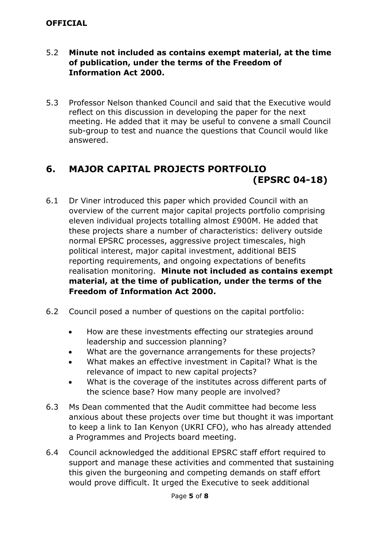#### **OFFICIAL**

#### 5.2 **Minute not included as contains exempt material, at the time of publication, under the terms of the Freedom of Information Act 2000.**

5.3 Professor Nelson thanked Council and said that the Executive would reflect on this discussion in developing the paper for the next meeting. He added that it may be useful to convene a small Council sub-group to test and nuance the questions that Council would like answered.

### **6. MAJOR CAPITAL PROJECTS PORTFOLIO (EPSRC 04-18)**

- 6.1 Dr Viner introduced this paper which provided Council with an overview of the current major capital projects portfolio comprising eleven individual projects totalling almost £900M. He added that these projects share a number of characteristics: delivery outside normal EPSRC processes, aggressive project timescales, high political interest, major capital investment, additional BEIS reporting requirements, and ongoing expectations of benefits realisation monitoring. **Minute not included as contains exempt material, at the time of publication, under the terms of the Freedom of Information Act 2000.**
- 6.2 Council posed a number of questions on the capital portfolio:
	- How are these investments effecting our strategies around leadership and succession planning?
	- What are the governance arrangements for these projects?
	- What makes an effective investment in Capital? What is the relevance of impact to new capital projects?
	- What is the coverage of the institutes across different parts of the science base? How many people are involved?
- 6.3 Ms Dean commented that the Audit committee had become less anxious about these projects over time but thought it was important to keep a link to Ian Kenyon (UKRI CFO), who has already attended a Programmes and Projects board meeting.
- 6.4 Council acknowledged the additional EPSRC staff effort required to support and manage these activities and commented that sustaining this given the burgeoning and competing demands on staff effort would prove difficult. It urged the Executive to seek additional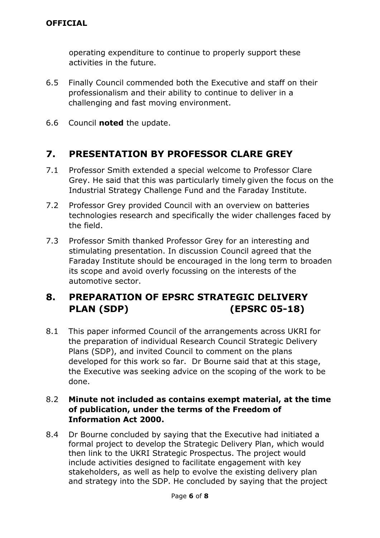operating expenditure to continue to properly support these activities in the future.

- 6.5 Finally Council commended both the Executive and staff on their professionalism and their ability to continue to deliver in a challenging and fast moving environment.
- 6.6 Council **noted** the update.

### **7. PRESENTATION BY PROFESSOR CLARE GREY**

- 7.1 Professor Smith extended a special welcome to Professor Clare Grey. He said that this was particularly timely given the focus on the Industrial Strategy Challenge Fund and the Faraday Institute.
- 7.2 Professor Grey provided Council with an overview on batteries technologies research and specifically the wider challenges faced by the field.
- 7.3 Professor Smith thanked Professor Grey for an interesting and stimulating presentation. In discussion Council agreed that the Faraday Institute should be encouraged in the long term to broaden its scope and avoid overly focussing on the interests of the automotive sector.

### **8. PREPARATION OF EPSRC STRATEGIC DELIVERY PLAN (SDP) (EPSRC 05-18)**

8.1 This paper informed Council of the arrangements across UKRI for the preparation of individual Research Council Strategic Delivery Plans (SDP), and invited Council to comment on the plans developed for this work so far. Dr Bourne said that at this stage, the Executive was seeking advice on the scoping of the work to be done.

#### 8.2 **Minute not included as contains exempt material, at the time of publication, under the terms of the Freedom of Information Act 2000.**

8.4 Dr Bourne concluded by saying that the Executive had initiated a formal project to develop the Strategic Delivery Plan, which would then link to the UKRI Strategic Prospectus. The project would include activities designed to facilitate engagement with key stakeholders, as well as help to evolve the existing delivery plan and strategy into the SDP. He concluded by saying that the project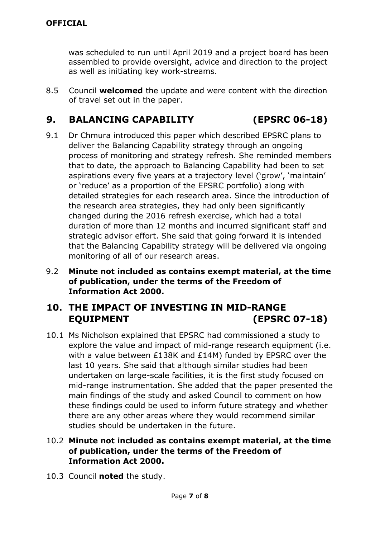was scheduled to run until April 2019 and a project board has been assembled to provide oversight, advice and direction to the project as well as initiating key work-streams.

8.5 Council **welcomed** the update and were content with the direction of travel set out in the paper.

#### **9. BALANCING CAPABILITY (EPSRC 06-18)**

- 9.1 Dr Chmura introduced this paper which described EPSRC plans to deliver the Balancing Capability strategy through an ongoing process of monitoring and strategy refresh. She reminded members that to date, the approach to Balancing Capability had been to set aspirations every five years at a trajectory level ('grow', 'maintain' or 'reduce' as a proportion of the EPSRC portfolio) along with detailed strategies for each research area. Since the introduction of the research area strategies, they had only been significantly changed during the 2016 refresh exercise, which had a total duration of more than 12 months and incurred significant staff and strategic advisor effort. She said that going forward it is intended that the Balancing Capability strategy will be delivered via ongoing monitoring of all of our research areas.
- 9.2 **Minute not included as contains exempt material, at the time of publication, under the terms of the Freedom of Information Act 2000.**

### **10. THE IMPACT OF INVESTING IN MID-RANGE EQUIPMENT (EPSRC 07-18)**

10.1 Ms Nicholson explained that EPSRC had commissioned a study to explore the value and impact of mid-range research equipment (i.e. with a value between £138K and £14M) funded by EPSRC over the last 10 years. She said that although similar studies had been undertaken on large-scale facilities, it is the first study focused on mid-range instrumentation. She added that the paper presented the main findings of the study and asked Council to comment on how these findings could be used to inform future strategy and whether there are any other areas where they would recommend similar studies should be undertaken in the future.

#### 10.2 **Minute not included as contains exempt material, at the time of publication, under the terms of the Freedom of Information Act 2000.**

10.3 Council **noted** the study.